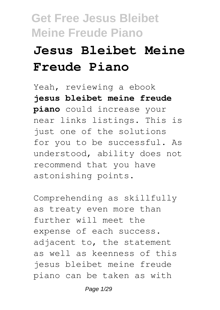# **Jesus Bleibet Meine Freude Piano**

Yeah, reviewing a ebook **jesus bleibet meine freude piano** could increase your near links listings. This is just one of the solutions for you to be successful. As understood, ability does not recommend that you have astonishing points.

Comprehending as skillfully as treaty even more than further will meet the expense of each success. adjacent to, the statement as well as keenness of this jesus bleibet meine freude piano can be taken as with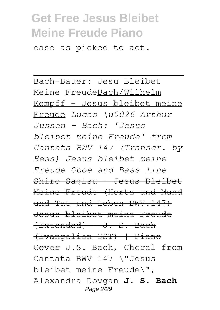ease as picked to act.

Bach-Bauer: Jesu Bleibet Meine FreudeBach/Wilhelm Kempff - Jesus bleibet meine Freude *Lucas \u0026 Arthur Jussen – Bach: 'Jesus bleibet meine Freude' from Cantata BWV 147 (Transcr. by Hess) Jesus bleibet meine Freude Oboe and Bass line* Shiro Sagisu - Jesus Bleibet Meine Freude (Hertz und Mund und Tat und Leben BWV.147) Jesus bleibet meine Freude [Extended] - J. S. Bach (Evangelion OST) | Piano Cover J.S. Bach, Choral from Cantata BWV 147 \"Jesus bleibet meine Freude\", Alexandra Dovgan **J. S. Bach** Page 2/29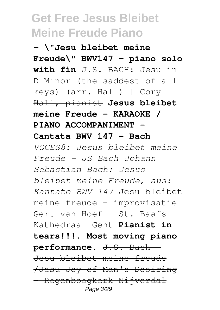**- \"Jesu bleibet meine Freude\" BWV147 - piano solo with fin** J.S. BACH: Jesu in D Minor (the saddest of all keys) (arr. Hall) | Cory Hall, pianist **Jesus bleibet meine Freude - KARAOKE / PIANO ACCOMPANIMENT - Cantata BWV 147 - Bach** *VOCES8: Jesus bleibet meine Freude - JS Bach Johann Sebastian Bach: Jesus bleibet meine Freude, aus: Kantate BWV 147* Jesu bleibet meine freude - improvisatie Gert van Hoef - St. Baafs Kathedraal Gent **Pianist in tears!!!. Most moving piano performance.** J.S. Bach - Jesu bleibet meine freude /Jesu Joy of Man's Desiring - Regenboogkerk Nijverdal Page 3/29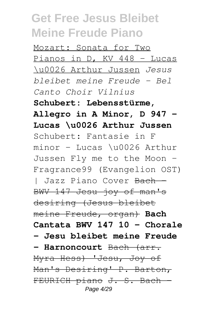Mozart: Sonata for Two Pianos in D, KV 448 - Lucas \u0026 Arthur Jussen *Jesus bleibet meine Freude - Bel Canto Choir Vilnius* **Schubert: Lebensstürme, Allegro in A Minor, D 947 - Lucas \u0026 Arthur Jussen** Schubert: Fantasie in F minor - Lucas \u0026 Arthur Jussen Fly me to the Moon - Fragrance99 (Evangelion OST) | Jazz Piano Cover <del>Bach -</del> BWV 147 Jesu joy of man's desiring (Jesus bleibet meine Freude, organ) **Bach Cantata BWV 147 10 - Chorale - Jesu bleibet meine Freude - Harnoncourt** Bach (arr. Myra Hess) 'Jesu, Joy of Man's Desiring' P. Barton, FEURICH piano J. S. Bach -Page  $4/29$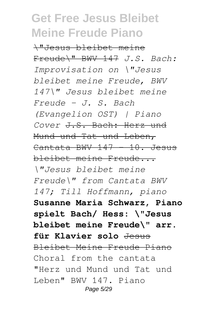\"Jesus bleibet meine Freude\" BWV 147 *J.S. Bach: Improvisation on \"Jesus bleibet meine Freude, BWV 147\" Jesus bleibet meine Freude - J. S. Bach (Evangelion OST) | Piano Cover* J.S. Bach: Herz und Mund und Tat und Leben, Cantata BWV 147 - 10. Jesus bleibet meine Freude... *\"Jesus bleibet meine Freude\" from Cantata BWV 147; Till Hoffmann, piano* **Susanne Maria Schwarz, Piano spielt Bach/ Hess: \"Jesus bleibet meine Freude\" arr. für Klavier solo** Jesus Bleibet Meine Freude Piano Choral from the cantata "Herz und Mund und Tat und Leben" BWV 147. Piano Page 5/29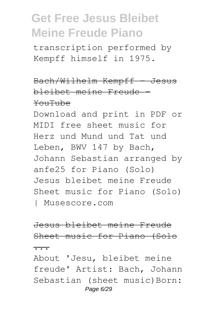transcription performed by Kempff himself in 1975.

Bach/Wilhelm Kempff Jesus bleibet meine Freude - YouTube

Download and print in PDF or MIDI free sheet music for Herz und Mund und Tat und Leben, BWV 147 by Bach, Johann Sebastian arranged by anfe25 for Piano (Solo) Jesus bleibet meine Freude Sheet music for Piano (Solo) | Musescore.com

Jesus bleibet meine Freude Sheet music for Piano (Solo

 $\overline{\cdots}$ 

About 'Jesu, bleibet meine freude' Artist: Bach, Johann Sebastian (sheet music) Born: Page 6/29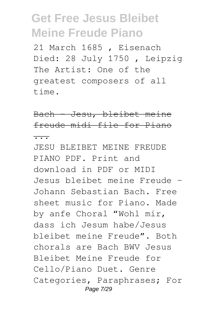21 March 1685 , Eisenach Died: 28 July 1750 , Leipzig The Artist: One of the greatest composers of all time.

Bach - Jesu, bleibet meine freude midi file for Piano ...

JESU BLEIBET MEINE FREUDE PIANO PDF. Print and download in PDF or MIDI Jesus bleibet meine Freude – Johann Sebastian Bach. Free sheet music for Piano. Made by anfe Choral "Wohl mir, dass ich Jesum habe/Jesus bleibet meine Freude". Both chorals are Bach BWV Jesus Bleibet Meine Freude for Cello/Piano Duet. Genre Categories, Paraphrases; For Page 7/29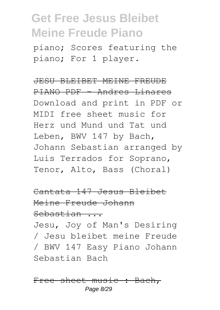piano; Scores featuring the piano; For 1 player.

JESU BLEIBET MEINE FREUDE PIANO PDF - Andres Linares Download and print in PDF or MIDI free sheet music for Herz und Mund und Tat und Leben, BWV 147 by Bach, Johann Sebastian arranged by Luis Terrados for Soprano, Tenor, Alto, Bass (Choral)

Cantata 147 Jesus Bleibet Meine Freude Johann Sebastian ...

Jesu, Joy of Man's Desiring / Jesu bleibet meine Freude / BWV 147 Easy Piano Johann Sebastian Bach

Free sheet music : Bach, Page 8/29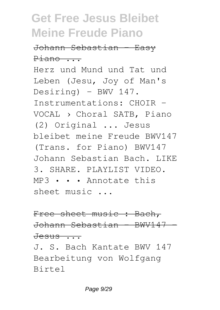Johann Sebastian - Easy Piano ... Herz und Mund und Tat und Leben (Jesu, Joy of Man's  $Desiring) - BWV 147.$ Instrumentations: CHOIR - VOCAL › Choral SATB, Piano (2) Original ... Jesus bleibet meine Freude BWV147

(Trans. for Piano) BWV147 Johann Sebastian Bach. LIKE 3. SHARE. PLAYLIST VIDEO. MP3 • • • Annotate this sheet music ...

Free sheet music : Bach, Johann Sebastian - BWV147 -  $Jessus \ldots$ 

J. S. Bach Kantate BWV 147 Bearbeitung von Wolfgang Birtel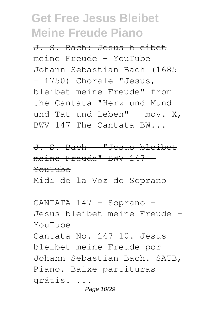J. S. Bach: Jesus bleibet meine Freude - YouTube Johann Sebastian Bach (1685 - 1750) Chorale "Jesus, bleibet meine Freude" from the Cantata "Herz und Mund und Tat und Leben" - mov.  $X_t$ BWV 147 The Cantata BW...

J. S. Bach - "Jesus bleibet meine Freude" BWV 147 -YouTube Midi de la Voz de Soprano

CANTATA 147 - Soprano -Jesus bleibet meine Freude - YouTube Cantata No. 147 10. Jesus bleibet meine Freude por Johann Sebastian Bach. SATB, Piano. Baixe partituras grátis. ... Page 10/29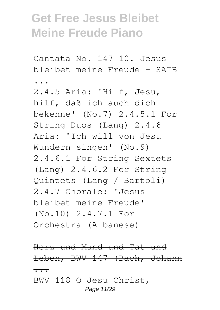Cantata No. 147 10. Jesus bleibet meine Freude - SATB ...

2.4.5 Aria: 'Hilf, Jesu, hilf, daß ich auch dich bekenne' (No.7) 2.4.5.1 For String Duos (Lang) 2.4.6 Aria: 'Ich will von Jesu Wundern singen' (No.9) 2.4.6.1 For String Sextets (Lang) 2.4.6.2 For String Quintets (Lang / Bartoli) 2.4.7 Chorale: 'Jesus bleibet meine Freude' (No.10) 2.4.7.1 For Orchestra (Albanese)

Herz und Mund und Tat und Leben, BWV 147 (Bach, Johann ... BWV 118 O Jesu Christ, Page 11/29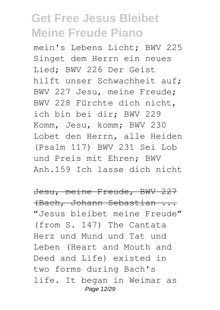mein's Lebens Licht; BWV 225 Singet dem Herrn ein neues Lied; BWV 226 Der Geist hilft unser Schwachheit auf; BWV 227 Jesu, meine Freude; BWV 228 Fürchte dich nicht, ich bin bei dir; BWV 229 Komm, Jesu, komm; BWV 230 Lobet den Herrn, alle Heiden (Psalm 117) BWV 231 Sei Lob und Preis mit Ehren; BWV Anh.159 Ich lasse dich nicht

Jesu, meine Freude, BWV 227 (Bach, Johann Sebastian ... "Jesus bleibet meine Freude" (from S. 147) The Cantata Herz und Mund und Tat und Leben (Heart and Mouth and Deed and Life) existed in two forms during Bach's life. It began in Weimar as Page 12/29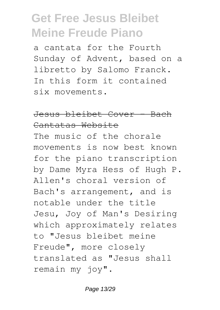a cantata for the Fourth Sunday of Advent, based on a libretto by Salomo Franck. In this form it contained six movements.

#### Jesus bleibet Cover - Bach Cantatas Website

The music of the chorale movements is now best known for the piano transcription by Dame Myra Hess of Hugh P. Allen's choral version of Bach's arrangement, and is notable under the title Jesu, Joy of Man's Desiring which approximately relates to "Jesus bleibet meine Freude", more closely translated as "Jesus shall remain my joy".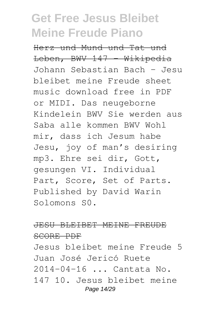Herz und Mund und Tat und Leben, BWV 147 Wikipedia Johann Sebastian Bach – Jesu bleibet meine Freude sheet music download free in PDF or MIDI. Das neugeborne Kindelein BWV Sie werden aus Saba alle kommen BWV Wohl mir, dass ich Jesum habe Jesu, joy of man's desiring mp3. Ehre sei dir, Gott, gesungen VI. Individual Part, Score, Set of Parts. Published by David Warin Solomons S0.

#### JESU BLEIBET MEINE FREUDE SCORE PDF

Jesus bleibet meine Freude 5 Juan José Jericó Ruete 2014-04-16 ... Cantata No. 147 10. Jesus bleibet meine Page 14/29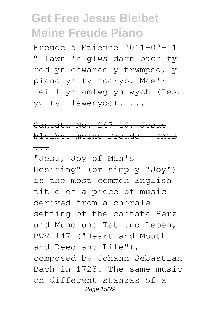Freude 5 Etienne 2011-02-11 " Iawn 'n glws darn bach fy mod yn chwarae y trwmped, y piano yn fy modryb. Mae'r teitl yn amlwg yn wych (Iesu yw fy llawenydd). ...

Cantata No. 147 10. Jesus bleibet meine Freude - SATB

...

"Jesu, Joy of Man's Desiring" (or simply "Joy") is the most common English title of a piece of music derived from a chorale setting of the cantata Herz und Mund und Tat und Leben, BWV 147 ("Heart and Mouth and Deed and Life"), composed by Johann Sebastian Bach in 1723. The same music on different stanzas of a Page 15/29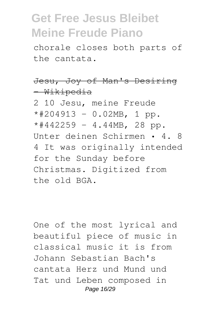chorale closes both parts of the cantata.

#### Jesu, Joy of Man's Desiring - Wikipedia

2 10 Jesu, meine Freude  $*#204913 - 0.02MB, 1 pp.$  $*#442259 - 4.44MB$ , 28 pp. Unter deinen Schirmen • 4. 8 4 It was originally intended for the Sunday before Christmas. Digitized from the old BGA.

One of the most lyrical and beautiful piece of music in classical music it is from Johann Sebastian Bach's cantata Herz und Mund und Tat und Leben composed in Page 16/29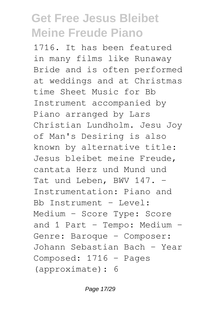1716. It has been featured in many films like Runaway Bride and is often performed at weddings and at Christmas time Sheet Music for Bb Instrument accompanied by Piano arranged by Lars Christian Lundholm. Jesu Joy of Man's Desiring is also known by alternative title: Jesus bleibet meine Freude, cantata Herz und Mund und Tat und Leben, BWV 147. -Instrumentation: Piano and  $Bb$  Instrument - Level: Medium - Score Type: Score and 1 Part - Tempo: Medium -Genre: Baroque - Composer: Johann Sebastian Bach - Year Composed: 1716 - Pages (approximate): 6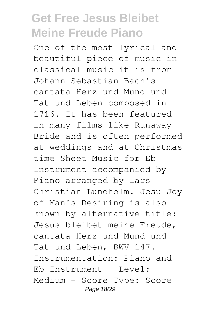One of the most lyrical and beautiful piece of music in classical music it is from Johann Sebastian Bach's cantata Herz und Mund und Tat und Leben composed in 1716. It has been featured in many films like Runaway Bride and is often performed at weddings and at Christmas time Sheet Music for Eb Instrument accompanied by Piano arranged by Lars Christian Lundholm. Jesu Joy of Man's Desiring is also known by alternative title: Jesus bleibet meine Freude, cantata Herz und Mund und Tat und Leben, BWV 147. -Instrumentation: Piano and Eb Instrument - Level: Medium - Score Type: Score Page 18/29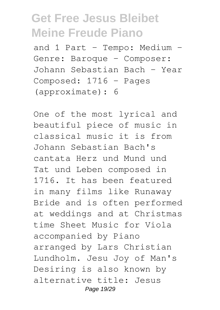and 1 Part - Tempo: Medium -Genre: Baroque - Composer: Johann Sebastian Bach - Year Composed: 1716 - Pages (approximate): 6

One of the most lyrical and beautiful piece of music in classical music it is from Johann Sebastian Bach's cantata Herz und Mund und Tat und Leben composed in 1716. It has been featured in many films like Runaway Bride and is often performed at weddings and at Christmas time Sheet Music for Viola accompanied by Piano arranged by Lars Christian Lundholm. Jesu Joy of Man's Desiring is also known by alternative title: Jesus Page 19/29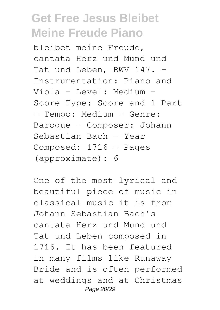bleibet meine Freude, cantata Herz und Mund und Tat und Leben, BWV 147. -Instrumentation: Piano and Viola - Level: Medium - Score Type: Score and 1 Part - Tempo: Medium - Genre: Baroque - Composer: Johann Sebastian Bach - Year Composed: 1716 - Pages (approximate): 6

One of the most lyrical and beautiful piece of music in classical music it is from Johann Sebastian Bach's cantata Herz und Mund und Tat und Leben composed in 1716. It has been featured in many films like Runaway Bride and is often performed at weddings and at Christmas Page 20/29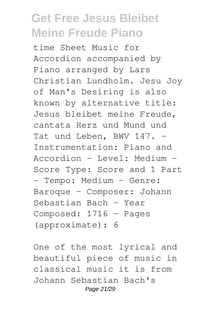time Sheet Music for Accordion accompanied by Piano arranged by Lars Christian Lundholm. Jesu Joy of Man's Desiring is also known by alternative title: Jesus bleibet meine Freude, cantata Herz und Mund und Tat und Leben, BWV 147. -Instrumentation: Piano and Accordion - Level: Medium - Score Type: Score and 1 Part - Tempo: Medium - Genre: Baroque - Composer: Johann Sebastian Bach - Year Composed: 1716 - Pages (approximate): 6

One of the most lyrical and beautiful piece of music in classical music it is from Johann Sebastian Bach's Page 21/29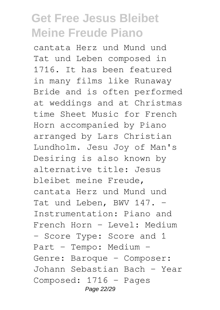cantata Herz und Mund und Tat und Leben composed in 1716. It has been featured in many films like Runaway Bride and is often performed at weddings and at Christmas time Sheet Music for French Horn accompanied by Piano arranged by Lars Christian Lundholm. Jesu Joy of Man's Desiring is also known by alternative title: Jesus bleibet meine Freude, cantata Herz und Mund und Tat und Leben, BWV 147. -Instrumentation: Piano and French Horn - Level: Medium - Score Type: Score and 1 Part - Tempo: Medium - Genre: Baroque - Composer: Johann Sebastian Bach - Year Composed: 1716 - Pages Page 22/29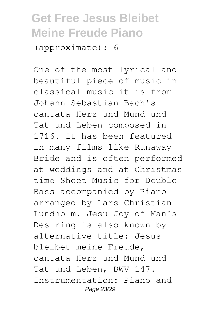(approximate): 6

One of the most lyrical and beautiful piece of music in classical music it is from Johann Sebastian Bach's cantata Herz und Mund und Tat und Leben composed in 1716. It has been featured in many films like Runaway Bride and is often performed at weddings and at Christmas time Sheet Music for Double Bass accompanied by Piano arranged by Lars Christian Lundholm. Jesu Joy of Man's Desiring is also known by alternative title: Jesus bleibet meine Freude, cantata Herz und Mund und Tat und Leben, BWV 147. -Instrumentation: Piano and Page 23/29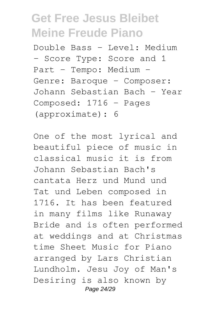Double Bass - Level: Medium - Score Type: Score and 1 Part - Tempo: Medium - Genre: Baroque - Composer: Johann Sebastian Bach - Year Composed: 1716 - Pages (approximate): 6

One of the most lyrical and beautiful piece of music in classical music it is from Johann Sebastian Bach's cantata Herz und Mund und Tat und Leben composed in 1716. It has been featured in many films like Runaway Bride and is often performed at weddings and at Christmas time Sheet Music for Piano arranged by Lars Christian Lundholm. Jesu Joy of Man's Desiring is also known by Page 24/29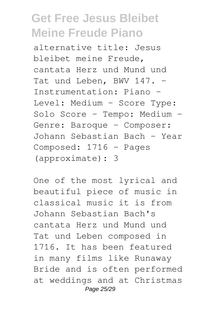alternative title: Jesus bleibet meine Freude, cantata Herz und Mund und Tat und Leben, BWV 147. -Instrumentation: Piano - Level: Medium - Score Type: Solo Score - Tempo: Medium - Genre: Baroque - Composer: Johann Sebastian Bach - Year Composed: 1716 - Pages (approximate): 3

One of the most lyrical and beautiful piece of music in classical music it is from Johann Sebastian Bach's cantata Herz und Mund und Tat und Leben composed in 1716. It has been featured in many films like Runaway Bride and is often performed at weddings and at Christmas Page 25/29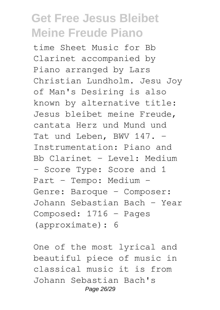time Sheet Music for Bb Clarinet accompanied by Piano arranged by Lars Christian Lundholm. Jesu Joy of Man's Desiring is also known by alternative title: Jesus bleibet meine Freude, cantata Herz und Mund und Tat und Leben, BWV 147. -Instrumentation: Piano and Bb Clarinet - Level: Medium - Score Type: Score and 1 Part - Tempo: Medium - Genre: Baroque - Composer: Johann Sebastian Bach - Year Composed: 1716 - Pages (approximate): 6

One of the most lyrical and beautiful piece of music in classical music it is from Johann Sebastian Bach's Page 26/29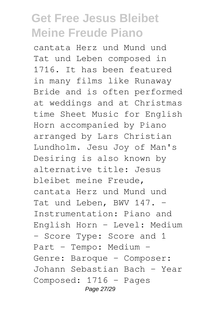cantata Herz und Mund und Tat und Leben composed in 1716. It has been featured in many films like Runaway Bride and is often performed at weddings and at Christmas time Sheet Music for English Horn accompanied by Piano arranged by Lars Christian Lundholm. Jesu Joy of Man's Desiring is also known by alternative title: Jesus bleibet meine Freude, cantata Herz und Mund und Tat und Leben, BWV 147. -Instrumentation: Piano and English Horn - Level: Medium - Score Type: Score and 1 Part - Tempo: Medium - Genre: Baroque - Composer: Johann Sebastian Bach - Year Composed: 1716 - Pages Page 27/29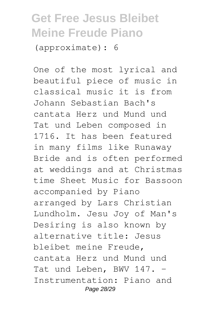(approximate): 6

One of the most lyrical and beautiful piece of music in classical music it is from Johann Sebastian Bach's cantata Herz und Mund und Tat und Leben composed in 1716. It has been featured in many films like Runaway Bride and is often performed at weddings and at Christmas time Sheet Music for Bassoon accompanied by Piano arranged by Lars Christian Lundholm. Jesu Joy of Man's Desiring is also known by alternative title: Jesus bleibet meine Freude, cantata Herz und Mund und Tat und Leben, BWV 147. -Instrumentation: Piano and Page 28/29